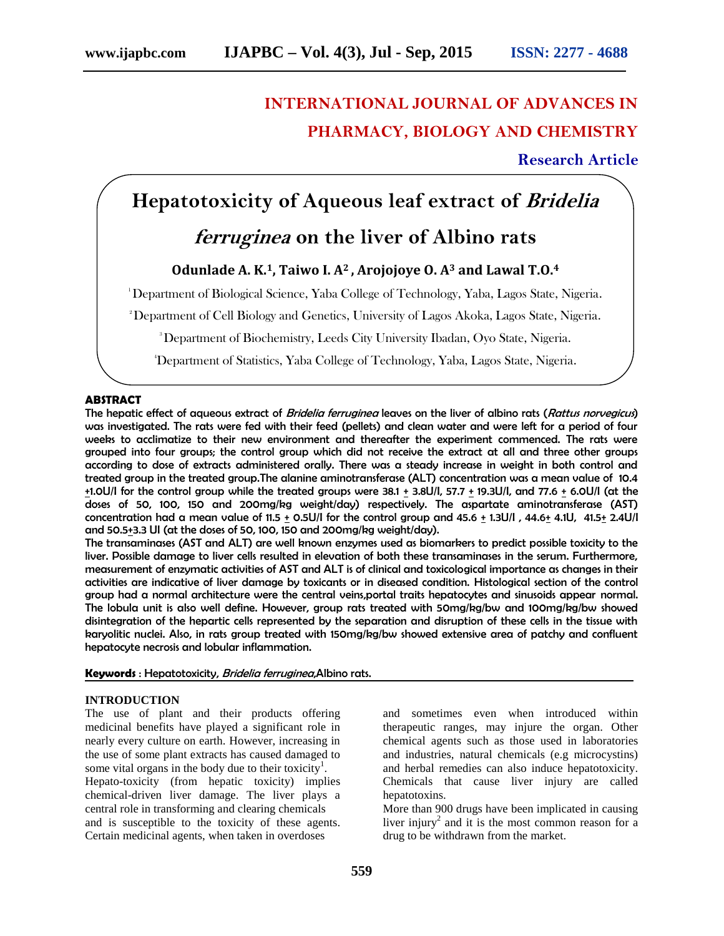# **INTERNATIONAL JOURNAL OF ADVANCES IN PHARMACY, BIOLOGY AND CHEMISTRY**

**Research Article**

## **Hepatotoxicity of Aqueous leaf extract of** *Bridelia*

## *ferruginea* **on the liver of Albino rats**

### **Odunlade A. K.1, Taiwo I. A<sup>2</sup> , Arojojoye O. A<sup>3</sup> and Lawal T.O.<sup>4</sup>**

<sup>1</sup>Department of Biological Science, Yaba College of Technology, Yaba, Lagos State, Nigeria.

<sup>2</sup>Department of Cell Biology and Genetics, University of Lagos Akoka, Lagos State, Nigeria.

<sup>3</sup>Department of Biochemistry, Leeds City University Ibadan, Oyo State, Nigeria.

4Department of Statistics, Yaba College of Technology, Yaba, Lagos State, Nigeria.

#### **ABSTRACT**

The hepatic effect of aqueous extract of *Bridelia ferruginea* leaves on the liver of albino rats (*Rattus norvegicus*) was investigated. The rats were fed with their feed (pellets) and clean water and were left for a period of four weeks to acclimatize to their new environment and thereafter the experiment commenced. The rats were grouped into four groups; the control group which did not receive the extract at all and three other groups according to dose of extracts administered orally. There was a steady increase in weight in both control and treated group in the treated group.The alanine aminotransferase (ALT) concentration was a mean value of 10.4 +1.0U/I for the control group while the treated groups were 38.1 + 3.8U/I, 57.7 + 19.3U/I, and 77.6 +6.0U/I (at the doses of 50, 100, 150 and 200mg/kg weight/day) respectively. The aspartate aminotransferase (AST) concentration had a mean value of 11.5 + 0.5U/I for the control group and 45.6 + 1.3U/I , 44.6+ 4.1U, 41.5+ 2.4U/I and 50.5+3.3 UI (at the doses of 50, 100, 150 and 200mg/kg weight/day).

The transaminases (AST and ALT) are well known enzymes used as biomarkers to predict possible toxicity to the liver. Possible damage to liver cells resulted in elevation of both these transaminases in the serum. Furthermore, measurement of enzymatic activities of AST and ALT is of clinical and toxicological importance as changes in their activities are indicative of liver damage by toxicants or in diseased condition. Histological section of the control group had a normal architecture were the central veins,portal traits hepatocytes and sinusoids appear normal. The lobula unit is also well define. However, group rats treated with 50mg/kg/bw and 100mg/kg/bw showed disintegration of the hepartic cells represented by the separation and disruption of these cells in the tissue with karyolitic nuclei. Also, in rats group treated with 150mg/kg/bw showed extensive area of patchy and confluent hepatocyte necrosis and lobular inflammation.

#### **Keywords** : Hepatotoxicity, *Bridelia ferruginea*,Albino rats.

#### **INTRODUCTION**

The use of plant and their products offering medicinal benefits have played a significant role in nearly every culture on earth. However, increasing in the use of some plant extracts has caused damaged to some vital organs in the body due to their toxicity<sup>1</sup>. Hepato-toxicity (from hepatic toxicity) implies chemical-driven liver damage. The liver plays a central role in transforming and clearing chemicals and is susceptible to the toxicity of these agents. Certain medicinal agents, when taken in overdoses

and sometimes even when introduced within therapeutic ranges, may injure the organ. Other chemical agents such as those used in laboratories and industries, natural chemicals (e.g microcystins) and herbal remedies can also induce hepatotoxicity. Chemicals that cause liver injury are called hepatotoxins.

More than 900 drugs have been implicated in causing liver injury<sup>2</sup> and it is the most common reason for a drug to be withdrawn from the market.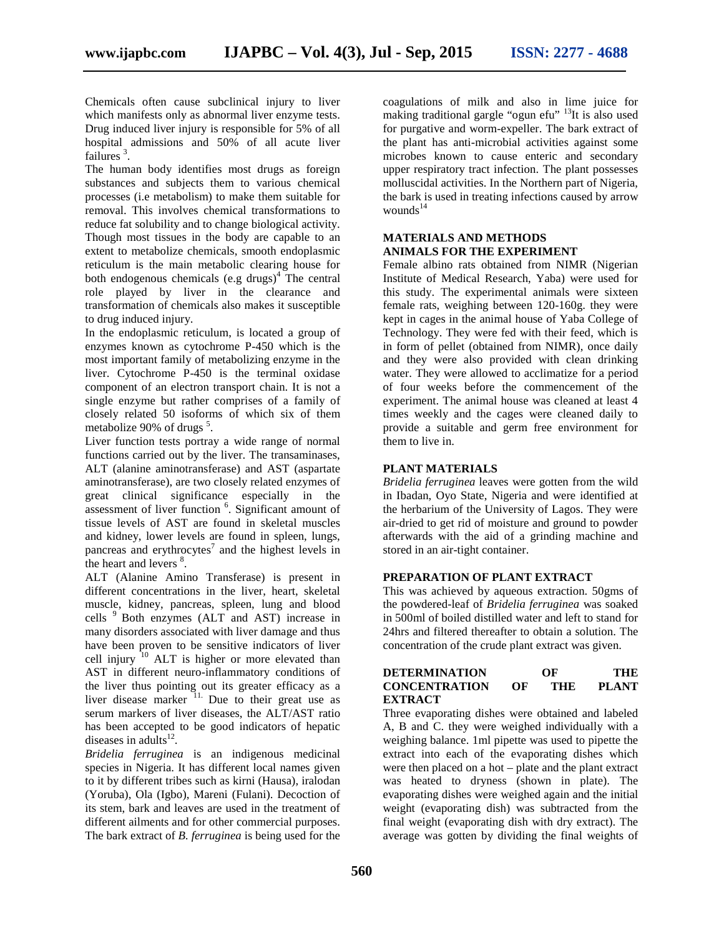Chemicals often cause subclinical injury to liver which manifests only as abnormal liver enzyme tests. Drug induced liver injury is responsible for 5% of all hospital admissions and 50% of all acute liver failures  $3$ . .

The human body identifies most drugs as foreign substances and subjects them to various chemical processes (i.e metabolism) to make them suitable for removal. This involves chemical transformations to reduce fat solubility and to change biological activity. Though most tissues in the body are capable to an extent to metabolize chemicals, smooth endoplasmic reticulum is the main metabolic clearing house for both endogenous chemicals (e.g drugs) $4$  The central role played by liver in the clearance and transformation of chemicals also makes it susceptible to drug induced injury.

In the endoplasmic reticulum, is located a group of enzymes known as cytochrome P-450 which is the most important family of metabolizing enzyme in the liver. Cytochrome P-450 is the terminal oxidase component of an electron transport chain. It is not a single enzyme but rather comprises of a family of closely related 50 isoforms of which six of them metabolize 90% of drugs<sup>5</sup>.

Liver function tests portray a wide range of normal functions carried out by the liver. The transaminases, ALT (alanine aminotransferase) and AST (aspartate aminotransferase), are two closely related enzymes of great clinical significance especially in the assessment of liver function <sup>6</sup>. Significant amount of tissue levels of AST are found in skeletal muscles and kidney, lower levels are found in spleen, lungs, pancreas and erythrocytes<sup>7</sup> and the highest levels in the heart and levers  $8$ .

ALT (Alanine Amino Transferase) is present in different concentrations in the liver, heart, skeletal muscle, kidney, pancreas, spleen, lung and blood cells <sup>9</sup> Both enzymes (ALT and AST) increase in many disorders associated with liver damage and thus have been proven to be sensitive indicators of liver cell injury  $10$  ALT is higher or more elevated than AST in different neuro-inflammatory conditions of the liver thus pointing out its greater efficacy as a liver disease marker  $\frac{11}{11}$ . Due to their great use as serum markers of liver diseases, the ALT/AST ratio has been accepted to be good indicators of hepatic diseases in adults $^{12}$ .

*Bridelia ferruginea* is an indigenous medicinal species in Nigeria. It has different local names given to it by different tribes such as kirni (Hausa), iralodan (Yoruba), Ola (Igbo), Mareni (Fulani). Decoction of its stem, bark and leaves are used in the treatment of different ailments and for other commercial purposes. The bark extract of *B. ferruginea* is being used for the coagulations of milk and also in lime juice for making traditional gargle "ogun efu" <sup>13</sup>It is also used for purgative and worm-expeller. The bark extract of the plant has anti-microbial activities against some microbes known to cause enteric and secondary upper respiratory tract infection. The plant possesses molluscidal activities. In the Northern part of Nigeria, the bark is used in treating infections caused by arrow wounds $14$ 

#### **MATERIALS AND METHODS ANIMALS FOR THE EXPERIMENT**

Female albino rats obtained from NIMR (Nigerian Institute of Medical Research, Yaba) were used for this study. The experimental animals were sixteen female rats, weighing between 120-160g. they were kept in cages in the animal house of Yaba College of Technology. They were fed with their feed, which is in form of pellet (obtained from NIMR), once daily and they were also provided with clean drinking water. They were allowed to acclimatize for a period of four weeks before the commencement of the experiment. The animal house was cleaned at least 4 times weekly and the cages were cleaned daily to provide a suitable and germ free environment for them to live in.

#### **PLANT MATERIALS**

*Bridelia ferruginea* leaves were gotten from the wild in Ibadan, Oyo State, Nigeria and were identified at the herbarium of the University of Lagos. They were air-dried to get rid of moisture and ground to powder afterwards with the aid of a grinding machine and stored in an air-tight container.

#### **PREPARATION OF PLANT EXTRACT**

This was achieved by aqueous extraction. 50gms of the powdered-leaf of *Bridelia ferruginea* was soaked in 500ml of boiled distilled water and left to stand for 24hrs and filtered thereafter to obtain a solution. The concentration of the crude plant extract was given.

| <b>DETERMINATION</b> |    | OF  | THE          |  |
|----------------------|----|-----|--------------|--|
| <b>CONCENTRATION</b> | OF | THE | <b>PLANT</b> |  |
| <b>EXTRACT</b>       |    |     |              |  |

Three evaporating dishes were obtained and labeled A, B and C. they were weighed individually with a weighing balance. 1ml pipette was used to pipette the extract into each of the evaporating dishes which were then placed on a hot – plate and the plant extract was heated to dryness (shown in plate). The evaporating dishes were weighed again and the initial weight (evaporating dish) was subtracted from the final weight (evaporating dish with dry extract). The average was gotten by dividing the final weights of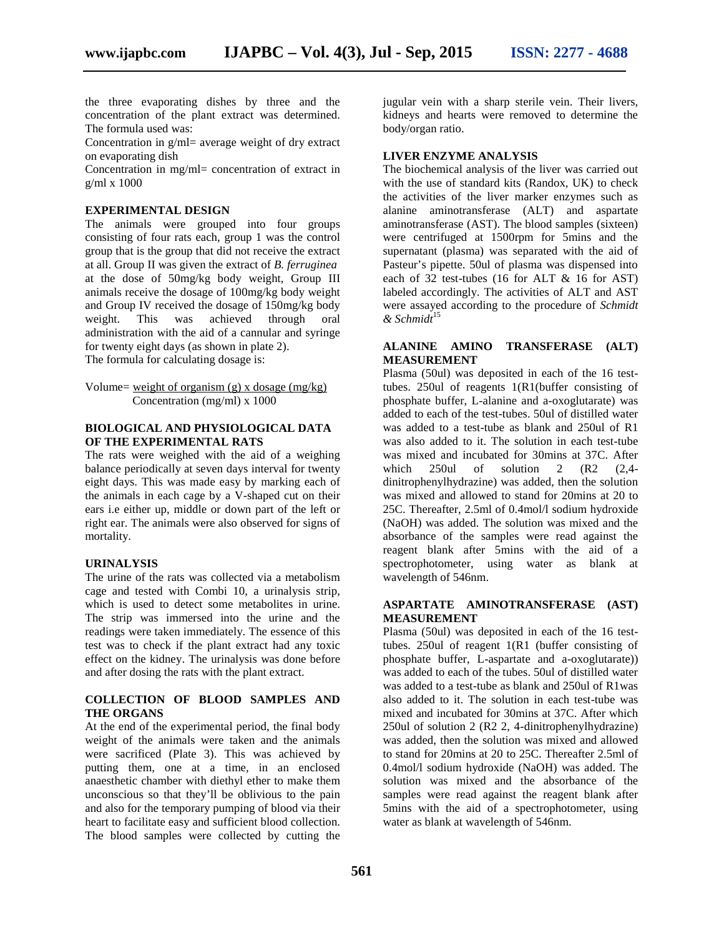the three evaporating dishes by three and the concentration of the plant extract was determined. The formula used was:

Concentration in g/ml= average weight of dry extract on evaporating dish

Concentration in mg/ml= concentration of extract in g/ml x 1000

#### **EXPERIMENTAL DESIGN**

The animals were grouped into four groups consisting of four rats each, group 1 was the control group that is the group that did not receive the extract at all. Group II was given the extract of *B. ferruginea* at the dose of 50mg/kg body weight, Group III animals receive the dosage of 100mg/kg body weight and Group IV received the dosage of 150mg/kg body weight. This was achieved through oral administration with the aid of a cannular and syringe for twenty eight days (as shown in plate 2). The formula for calculating dosage is:

Volume= weight of organism  $(g)$  x dosage  $(mg/kg)$ Concentration (mg/ml) x 1000

#### **BIOLOGICAL AND PHYSIOLOGICAL DATA OF THE EXPERIMENTAL RATS**

The rats were weighed with the aid of a weighing balance periodically at seven days interval for twenty eight days. This was made easy by marking each of the animals in each cage by a V-shaped cut on their ears i.e either up, middle or down part of the left or right ear. The animals were also observed for signs of mortality.

#### **URINALYSIS**

The urine of the rats was collected via a metabolism cage and tested with Combi 10, a urinalysis strip, which is used to detect some metabolites in urine. The strip was immersed into the urine and the readings were taken immediately. The essence of this test was to check if the plant extract had any toxic effect on the kidney. The urinalysis was done before and after dosing the rats with the plant extract.

#### **COLLECTION OF BLOOD SAMPLES AND THE ORGANS**

At the end of the experimental period, the final body weight of the animals were taken and the animals were sacrificed (Plate 3). This was achieved by putting them, one at a time, in an enclosed anaesthetic chamber with diethyl ether to make them unconscious so that they'll be oblivious to the pain and also for the temporary pumping of blood via their heart to facilitate easy and sufficient blood collection. The blood samples were collected by cutting the

jugular vein with a sharp sterile vein. Their livers, kidneys and hearts were removed to determine the body/organ ratio.

#### **LIVER ENZYME ANALYSIS**

The biochemical analysis of the liver was carried out with the use of standard kits (Randox, UK) to check the activities of the liver marker enzymes such as alanine aminotransferase (ALT) and aspartate aminotransferase (AST). The blood samples (sixteen) were centrifuged at 1500rpm for 5mins and the supernatant (plasma) was separated with the aid of Pasteur's pipette. 50ul of plasma was dispensed into each of 32 test-tubes (16 for ALT & 16 for AST) labeled accordingly. The activities of ALT and AST were assayed according to the procedure of *Schmidt & Schmidt*<sup>15</sup>

#### **ALANINE AMINO TRANSFERASE (ALT) MEASUREMENT**

Plasma (50ul) was deposited in each of the 16 testtubes. 250ul of reagents 1(R1(buffer consisting of phosphate buffer, L-alanine and a-oxoglutarate) was added to each of the test-tubes. 50ul of distilled water was added to a test-tube as blank and 250ul of R1 was also added to it. The solution in each test-tube was mixed and incubated for 30mins at 37C. After  $250$ ul of solution  $2$  (R2 (2,4dinitrophenylhydrazine) was added, then the solution was mixed and allowed to stand for 20mins at 20 to 25C. Thereafter, 2.5ml of 0.4mol/l sodium hydroxide (NaOH) was added. The solution was mixed and the absorbance of the samples were read against the reagent blank after 5mins with the aid of a spectrophotometer, using water as blank at wavelength of 546nm.

#### **ASPARTATE AMINOTRANSFERASE (AST) MEASUREMENT**

Plasma (50ul) was deposited in each of the 16 testtubes. 250ul of reagent 1(R1 (buffer consisting of phosphate buffer, L-aspartate and a-oxoglutarate)) was added to each of the tubes. 50ul of distilled water was added to a test-tube as blank and 250ul of R1was also added to it. The solution in each test-tube was mixed and incubated for 30mins at 37C. After which 250ul of solution 2 (R2 2, 4-dinitrophenylhydrazine) was added, then the solution was mixed and allowed to stand for 20mins at 20 to 25C. Thereafter 2.5ml of 0.4mol/l sodium hydroxide (NaOH) was added. The solution was mixed and the absorbance of the samples were read against the reagent blank after 5mins with the aid of a spectrophotometer, using water as blank at wavelength of 546nm.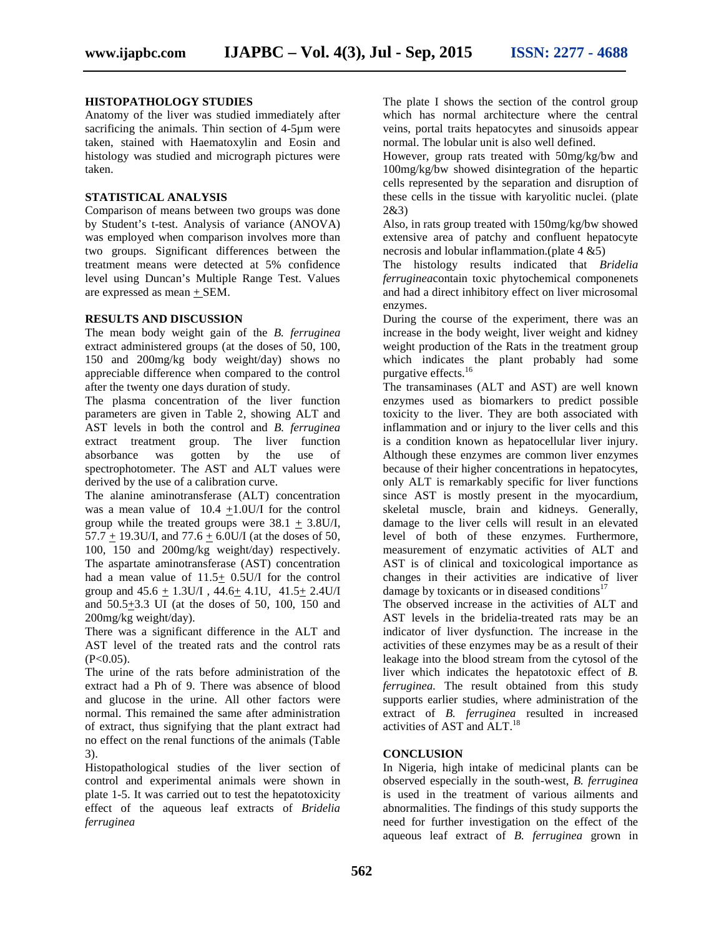#### **HISTOPATHOLOGY STUDIES**

Anatomy of the liver was studied immediately after sacrificing the animals. Thin section of 4-5µm were taken, stained with Haematoxylin and Eosin and histology was studied and micrograph pictures were taken.

#### **STATISTICAL ANALYSIS**

Comparison of means between two groups was done by Student's t-test. Analysis of variance (ANOVA) was employed when comparison involves more than two groups. Significant differences between the treatment means were detected at 5% confidence level using Duncan's Multiple Range Test. Values are expressed as mean + SEM.

#### **RESULTS AND DISCUSSION**

The mean body weight gain of the *B. ferruginea* extract administered groups (at the doses of 50, 100, 150 and 200mg/kg body weight/day) shows no appreciable difference when compared to the control after the twenty one days duration of study.

The plasma concentration of the liver function parameters are given in Table 2, showing ALT and AST levels in both the control and *B. ferruginea* extract treatment group. The liver function absorbance was gotten by the use of spectrophotometer. The AST and ALT values were derived by the use of a calibration curve.

The alanine aminotransferase (ALT) concentration was a mean value of 10.4 +1.0U/I for the control group while the treated groups were  $38.1 + 3.8U/I$ ,  $57.7 + 19.3$ U/I, and  $77.6 + 6.0$ U/I (at the doses of 50, 100, 150 and 200mg/kg weight/day) respectively. The aspartate aminotransferase (AST) concentration had a mean value of 11.5+ 0.5U/I for the control group and  $45.6 \pm 1.3$ U/I,  $44.6 \pm 4.1$ U,  $41.5 \pm 2.4$ U/I and 50.5+3.3 UI (at the doses of 50, 100, 150 and 200mg/kg weight/day).

There was a significant difference in the ALT and AST level of the treated rats and the control rats  $(P<0.05)$ .

The urine of the rats before administration of the extract had a Ph of 9. There was absence of blood and glucose in the urine. All other factors were normal. This remained the same after administration of extract, thus signifying that the plant extract had no effect on the renal functions of the animals (Table 3).

Histopathological studies of the liver section of control and experimental animals were shown in plate 1-5. It was carried out to test the hepatotoxicity effect of the aqueous leaf extracts of *Bridelia ferruginea*

The plate I shows the section of the control group which has normal architecture where the central veins, portal traits hepatocytes and sinusoids appear normal. The lobular unit is also well defined.

However, group rats treated with 50mg/kg/bw and 100mg/kg/bw showed disintegration of the hepartic cells represented by the separation and disruption of these cells in the tissue with karyolitic nuclei. (plate 2&3)

Also, in rats group treated with 150mg/kg/bw showed extensive area of patchy and confluent hepatocyte necrosis and lobular inflammation.(plate 4 &5)

The histology results indicated that *Bridelia ferruginea*contain toxic phytochemical componenets and had a direct inhibitory effect on liver microsomal enzymes.

During the course of the experiment, there was an increase in the body weight, liver weight and kidney weight production of the Rats in the treatment group which indicates the plant probably had some purgative effects.<sup>16</sup>

The transaminases (ALT and AST) are well known enzymes used as biomarkers to predict possible toxicity to the liver. They are both associated with inflammation and or injury to the liver cells and this is a condition known as hepatocellular liver injury. Although these enzymes are common liver enzymes because of their higher concentrations in hepatocytes, only ALT is remarkably specific for liver functions since AST is mostly present in the myocardium, skeletal muscle, brain and kidneys. Generally, damage to the liver cells will result in an elevated level of both of these enzymes. Furthermore, measurement of enzymatic activities of ALT and AST is of clinical and toxicological importance as changes in their activities are indicative of liver damage by toxicants or in diseased conditions<sup>17</sup>

The observed increase in the activities of ALT and AST levels in the bridelia-treated rats may be an indicator of liver dysfunction. The increase in the activities of these enzymes may be as a result of their leakage into the blood stream from the cytosol of the liver which indicates the hepatotoxic effect of *B. ferruginea.* The result obtained from this study supports earlier studies*,* where administration of the extract of *B. ferruginea* resulted in increased activities of AST and  $ALT$ .<sup>18</sup>

#### **CONCLUSION**

In Nigeria, high intake of medicinal plants can be observed especially in the south-west, *B. ferruginea* is used in the treatment of various ailments and abnormalities. The findings of this study supports the need for further investigation on the effect of the aqueous leaf extract of *B. ferruginea* grown in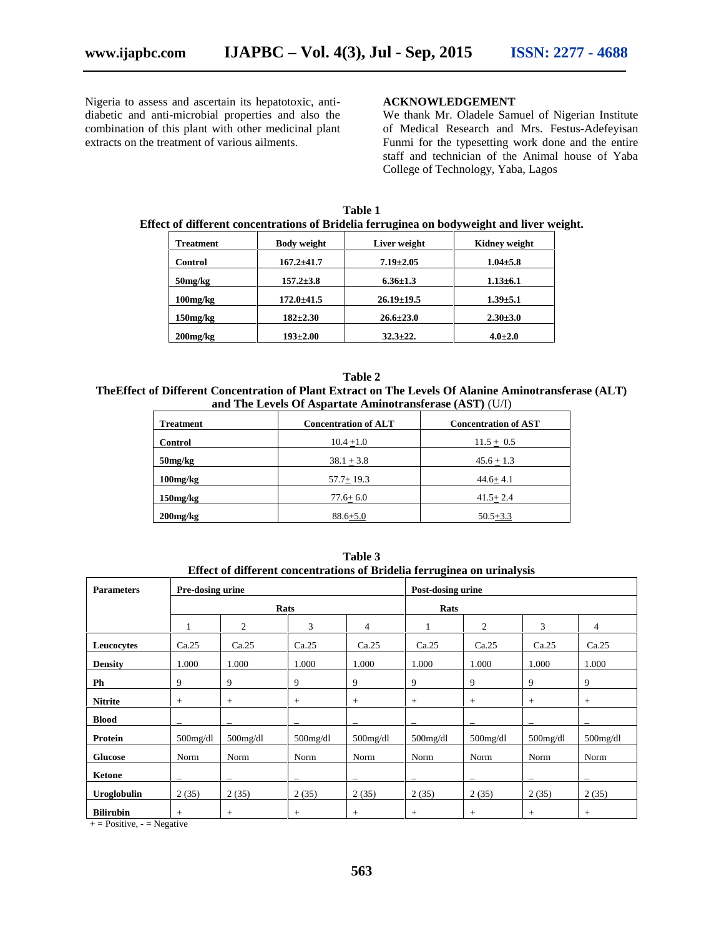Nigeria to assess and ascertain its hepatotoxic, anti diabetic and anti-microbial properties and also the combination of this plant with other medicinal plant extracts on the treatment of various ailments.

#### **ACKNOWLEDGEMENT**

We thank Mr. Oladele Samuel of Nigerian Institute of Medical Research and Mrs. Festus-Adefeyisan Funmi for the typesetting work done and the entire staff and technician of the Animal house of Yaba College of Technology, Yaba, Lagos

|                  | Effect of different concentrations of Bridelia ferruginea on bodyweight and liver weight. |                  |                      |
|------------------|-------------------------------------------------------------------------------------------|------------------|----------------------|
| <b>Treatment</b> | <b>Body weight</b>                                                                        | Liver weight     | <b>Kidney weight</b> |
| <b>Control</b>   | $167.2 \pm 41.7$                                                                          | $7.19 \pm 2.05$  | $1.04 \pm 5.8$       |
| $50$ mg/ $kg$    | $157.2 \pm 3.8$                                                                           | $6.36 \pm 1.3$   | $1.13 \pm 6.1$       |
| $100$ mg/ $kg$   | $172.0 \pm 41.5$                                                                          | $26.19 \pm 19.5$ | $1.39 + 5.1$         |

**150mg/kg 182±2.30 26.6±23.0 2.30±3.0 200mg/kg 193±2.00 32.3±22. 4.0±2.0**

**Table 1**

**Table 2 TheEffect of Different Concentration of Plant Extract on The Levels Of Alanine Aminotransferase (ALT) and The Levels Of Aspartate Aminotransferase (AST)** (U/I)

| <b>Treatment</b> | <b>Concentration of ALT</b> | <b>Concentration of AST</b> |  |  |
|------------------|-----------------------------|-----------------------------|--|--|
| <b>Control</b>   | $10.4 + 1.0$                | $11.5 + 0.5$                |  |  |
| 50mg/kg          | $38.1 + 3.8$                | $45.6 + 1.3$                |  |  |
| $100$ mg/ $kg$   | $57.7 + 19.3$               | $44.6 + 4.1$                |  |  |
| $150$ mg/ $kg$   | $77.6 + 6.0$                | $41.5 + 2.4$                |  |  |
| $200$ mg/ $kg$   | $88.6 + 5.0$                | $50.5 + 3.3$                |  |  |

| <b>Parameters</b> |             | mitte of unfer the concentrations of Britania ferruginea on armarysis<br>Pre-dosing urine |                          |                | Post-dosing urine |             |                          |                |
|-------------------|-------------|-------------------------------------------------------------------------------------------|--------------------------|----------------|-------------------|-------------|--------------------------|----------------|
|                   |             | Rats                                                                                      |                          |                |                   | Rats        |                          |                |
|                   |             | 2                                                                                         | 3                        | $\overline{4}$ | 1                 | 2           | 3                        | $\overline{4}$ |
| Leucocytes        | Ca.25       | Ca.25                                                                                     | Ca.25                    | Ca.25          | Ca.25             | Ca.25       | Ca.25                    | Ca.25          |
| <b>Density</b>    | 1.000       | 1.000                                                                                     | 1.000                    | 1.000          | 1.000             | 1.000       | 1.000                    | 1.000          |
| Ph                | 9           | 9                                                                                         | 9                        | 9              | 9                 | 9           | 9                        | 9              |
| <b>Nitrite</b>    | $\! +$      | $\! + \!\!\!\!$                                                                           | $+$                      | $+$            | $+$               | $+$         | $+$                      | $+$            |
| <b>Blood</b>      |             | $\overline{\phantom{a}}$                                                                  |                          |                |                   |             | $\overline{\phantom{0}}$ |                |
| Protein           | $500$ mg/dl | $500$ mg/dl                                                                               | $500$ mg/dl              | $500$ mg/dl    | $500$ mg/dl       | $500$ mg/dl | $500$ mg/dl              | $500$ mg/dl    |
| <b>Glucose</b>    | Norm        | Norm                                                                                      | Norm                     | Norm           | Norm              | Norm        | Norm                     | Norm           |
| Ketone            |             |                                                                                           | $\overline{\phantom{0}}$ |                |                   |             | $\overline{\phantom{0}}$ |                |
| Uroglobulin       | 2(35)       | 2(35)                                                                                     | 2(35)                    | 2(35)          | 2(35)             | 2(35)       | 2(35)                    | 2(35)          |
| <b>Bilirubin</b>  | $\! +$      | $\! +$                                                                                    | $^{+}$                   | $^{+}$         | $+$               | $+$         | $+$                      | $+$            |

**Table 3 Effect of different concentrations of Bridelia ferruginea on urinalysis**

 $+=$  Positive,  $-$  = Negative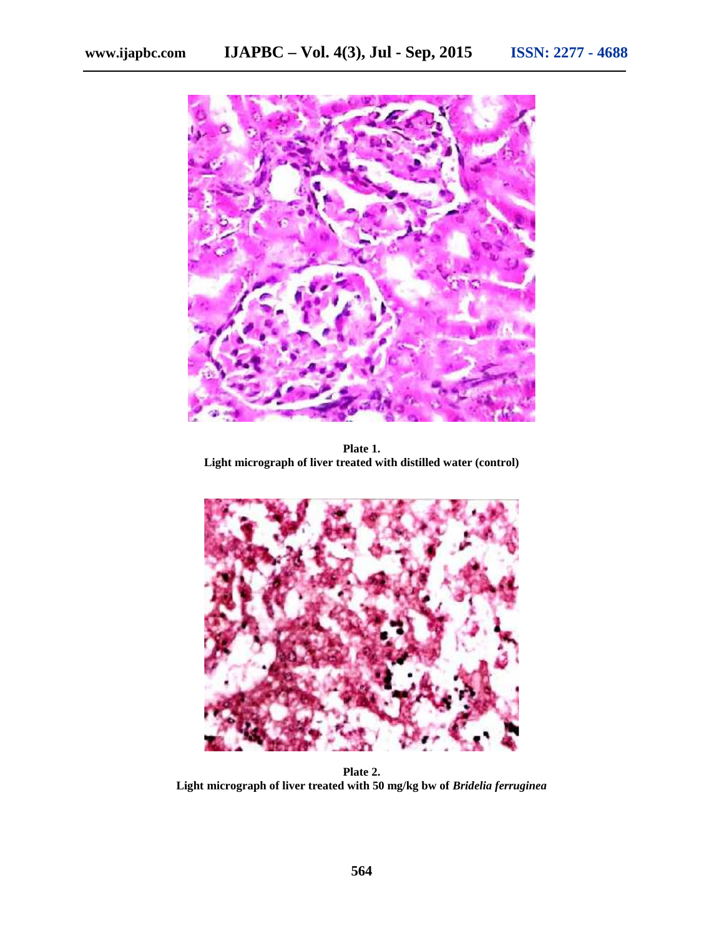

**Plate 1. Light micrograph of liver treated with distilled water (control)**



**Plate 2. Light micrograph of liver treated with 50 mg/kg bw of** *Bridelia ferruginea*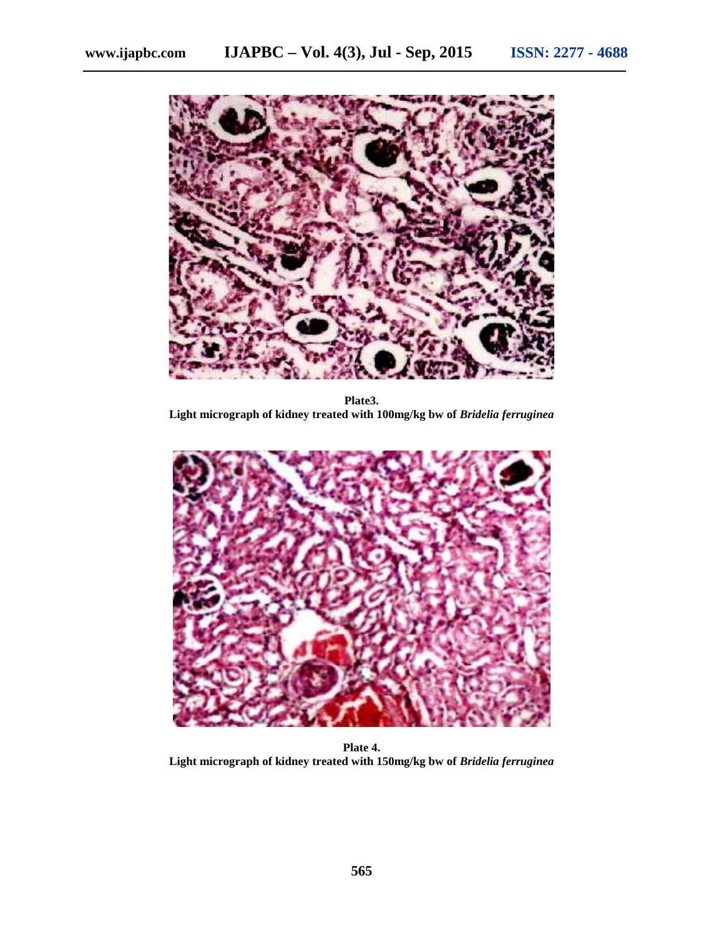

**Plate3. Light micrograph of kidney treated with 100mg/kg bw of** *Bridelia ferruginea*



**Plate 4. Light micrograph of kidney treated with 150mg/kg bw of** *Bridelia ferruginea*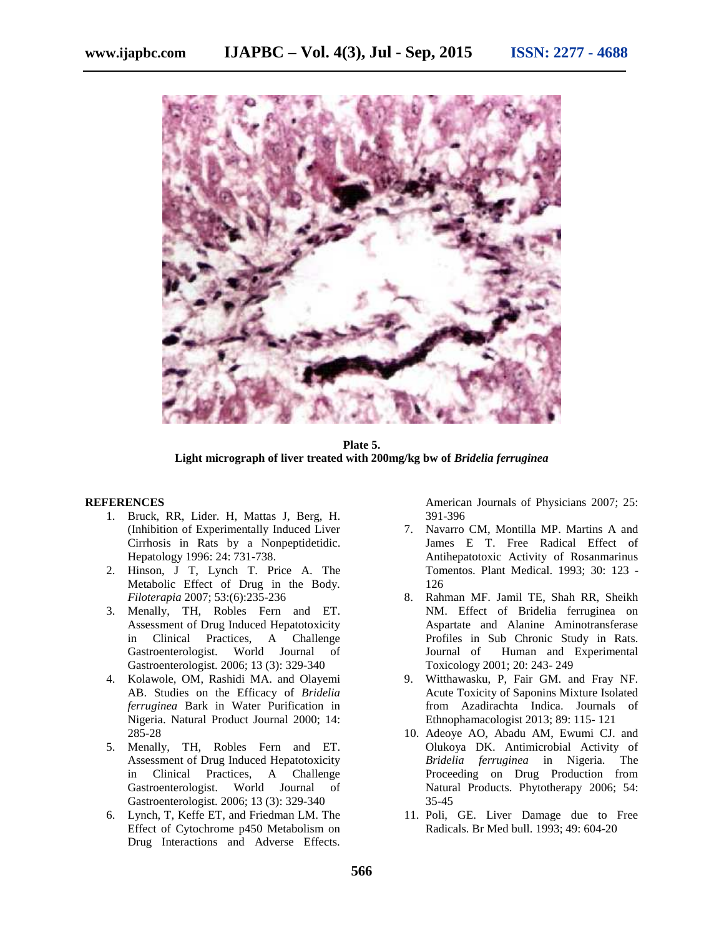

**Plate 5. Light micrograph of liver treated with 200mg/kg bw of** *Bridelia ferruginea*

#### **REFERENCES**

- 1. Bruck, RR, Lider. H, Mattas J, Berg, H. (Inhibition of Experimentally Induced Liver Cirrhosis in Rats by a Nonpeptidetidic. Hepatology 1996: 24: 731-738.
- 2. Hinson, J T, Lynch T. Price A. The Metabolic Effect of Drug in the Body. *Filoterapia* 2007; 53:(6):235-236
- 3. Menally, TH, Robles Fern and ET. Assessment of Drug Induced Hepatotoxicity in Clinical Practices, A Challenge Gastroenterologist. World Journal of Gastroenterologist. 2006; 13 (3): 329-340
- 4. Kolawole, OM, Rashidi MA. and Olayemi AB. Studies on the Efficacy of *Bridelia ferruginea* Bark in Water Purification in Nigeria. Natural Product Journal 2000; 14: 285-28
- 5. Menally, TH, Robles Fern and ET. Assessment of Drug Induced Hepatotoxicity in Clinical Practices, A Challenge Gastroenterologist. World Journal of Gastroenterologist. 2006; 13 (3): 329-340
- 6. Lynch, T, Keffe ET, and Friedman LM. The Effect of Cytochrome p450 Metabolism on Drug Interactions and Adverse Effects.

American Journals of Physicians 2007; 25: 391-396

- 7. Navarro CM, Montilla MP. Martins A and James E T. Free Radical Effect of Antihepatotoxic Activity of Rosanmarinus Tomentos. Plant Medical. 1993; 30: 123 - 126
- 8. Rahman MF. Jamil TE, Shah RR, Sheikh NM. Effect of Bridelia ferruginea on Aspartate and Alanine Aminotransferase Profiles in Sub Chronic Study in Rats. Journal of Human and Experimental Toxicology 2001; 20: 243- 249
- 9. Witthawasku, P, Fair GM. and Fray NF. Acute Toxicity of Saponins Mixture Isolated from Azadirachta Indica. Journals of Ethnophamacologist 2013; 89: 115- 121
- 10. Adeoye AO, Abadu AM, Ewumi CJ. and Olukoya DK. Antimicrobial Activity of *Bridelia ferruginea* in Nigeria. The Proceeding on Drug Production from Natural Products. Phytotherapy 2006; 54: 35-45
- 11. Poli, GE. Liver Damage due to Free Radicals. Br Med bull. 1993; 49: 604-20